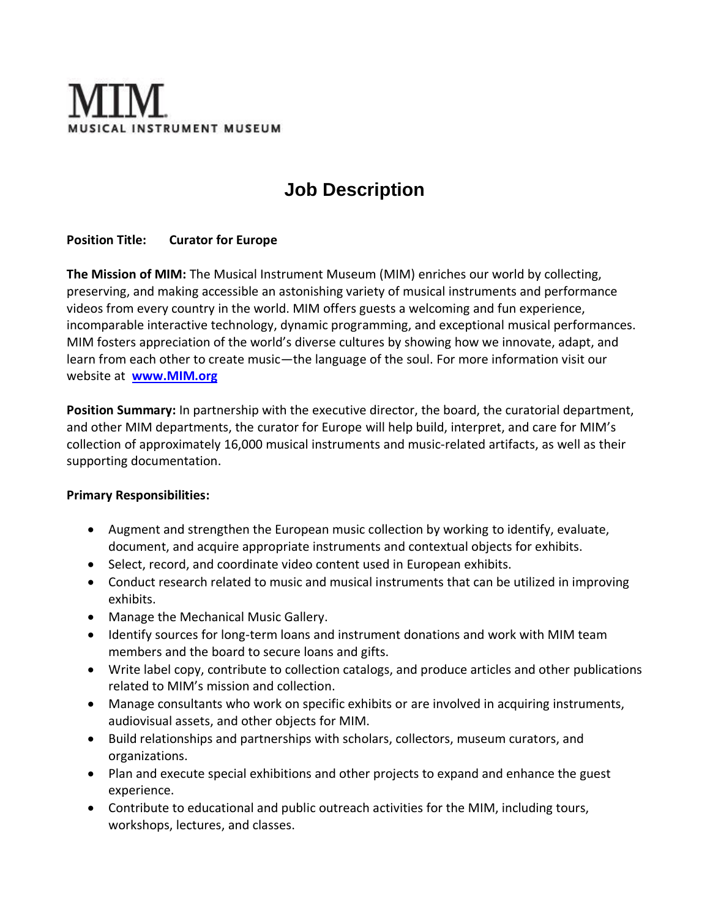

# **Job Description**

### **Position Title: Curator for Europe**

**The Mission of MIM:** The Musical Instrument Museum (MIM) enriches our world by collecting, preserving, and making accessible an astonishing variety of musical instruments and performance videos from every country in the world. MIM offers guests a welcoming and fun experience, incomparable interactive technology, dynamic programming, and exceptional musical performances. MIM fosters appreciation of the world's diverse cultures by showing how we innovate, adapt, and learn from each other to create music—the language of the soul. For more information visit our website at **[www.MIM.org](http://www.mim.org/)**

**Position Summary:** In partnership with the executive director, the board, the curatorial department, and other MIM departments, the curator for Europe will help build, interpret, and care for MIM's collection of approximately 16,000 musical instruments and music-related artifacts, as well as their supporting documentation.

#### **Primary Responsibilities:**

- Augment and strengthen the European music collection by working to identify, evaluate, document, and acquire appropriate instruments and contextual objects for exhibits.
- Select, record, and coordinate video content used in European exhibits.
- Conduct research related to music and musical instruments that can be utilized in improving exhibits.
- Manage the Mechanical Music Gallery.
- Identify sources for long-term loans and instrument donations and work with MIM team members and the board to secure loans and gifts.
- Write label copy, contribute to collection catalogs, and produce articles and other publications related to MIM's mission and collection.
- Manage consultants who work on specific exhibits or are involved in acquiring instruments, audiovisual assets, and other objects for MIM.
- Build relationships and partnerships with scholars, collectors, museum curators, and organizations.
- Plan and execute special exhibitions and other projects to expand and enhance the guest experience.
- Contribute to educational and public outreach activities for the MIM, including tours, workshops, lectures, and classes.